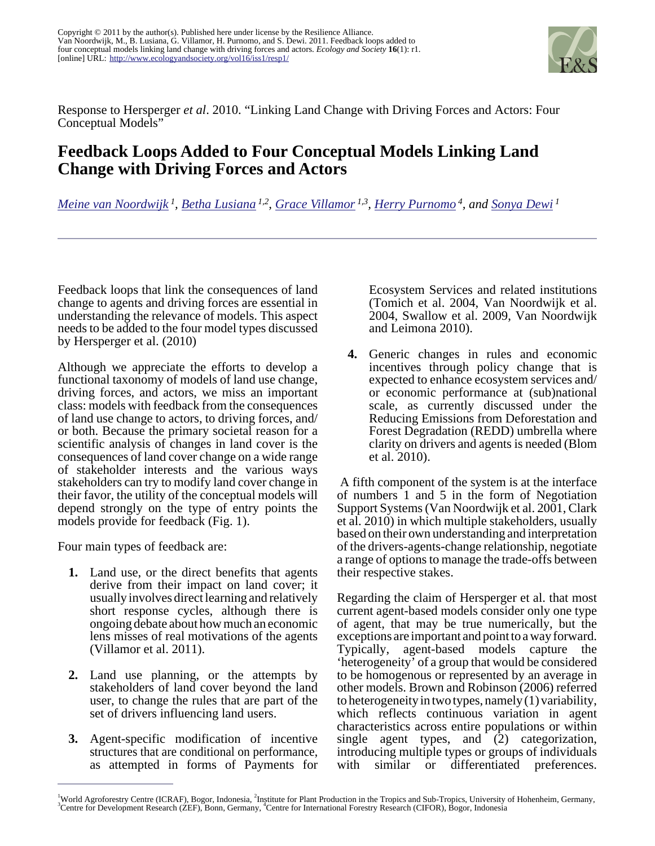

Response to Hersperger *et al*. 2010. "Linking Land Change with Driving Forces and Actors: Four Conceptual Models"

## **Feedback Loops Added to Four Conceptual Models Linking Land Change with Driving Forces and Actors**

*[Meine van Noordwijk](mailto:M.Vannoordwijk@cgiar.org)<sup>1</sup> , [Betha Lusiana](mailto:B.Lusiana@cgiar.org) 1,2 , [Grace Villamor](mailto:grace.villamor@gmail.com) 1,3 , [Herry Purnomo](mailto:H.Purnomo@cgiar.org)<sup>4</sup>, and [Sonya Dewi](mailto:S.Dewi@cgiar.org)<sup>1</sup>*

Feedback loops that link the consequences of land change to agents and driving forces are essential in understanding the relevance of models. This aspect needs to be added to the four model types discussed by Hersperger et al. (2010)

Although we appreciate the efforts to develop a functional taxonomy of models of land use change, driving forces, and actors, we miss an important class: models with feedback from the consequences of land use change to actors, to driving forces, and/ or both. Because the primary societal reason for a scientific analysis of changes in land cover is the consequences of land cover change on a wide range of stakeholder interests and the various ways stakeholders can try to modify land cover change in their favor, the utility of the conceptual models will depend strongly on the type of entry points the models provide for feedback (Fig. 1).

Four main types of feedback are:

- **1.** Land use, or the direct benefits that agents derive from their impact on land cover; it usually involves direct learning and relatively short response cycles, although there is ongoing debate about how much an economic lens misses of real motivations of the agents (Villamor et al. 2011).
- **2.** Land use planning, or the attempts by stakeholders of land cover beyond the land user, to change the rules that are part of the set of drivers influencing land users.
- **3.** Agent-specific modification of incentive structures that are conditional on performance, as attempted in forms of Payments for

Ecosystem Services and related institutions (Tomich et al. 2004, Van Noordwijk et al. 2004, Swallow et al. 2009, Van Noordwijk and Leimona 2010).

**4.** Generic changes in rules and economic incentives through policy change that is expected to enhance ecosystem services and/ or economic performance at (sub)national scale, as currently discussed under the Reducing Emissions from Deforestation and Forest Degradation (REDD) umbrella where clarity on drivers and agents is needed (Blom et al. 2010).

 A fifth component of the system is at the interface of numbers 1 and 5 in the form of Negotiation Support Systems (Van Noordwijk et al. 2001, Clark et al. 2010) in which multiple stakeholders, usually based on their own understanding and interpretation of the drivers-agents-change relationship, negotiate a range of options to manage the trade-offs between their respective stakes.

Regarding the claim of Hersperger et al. that most current agent-based models consider only one type of agent, that may be true numerically, but the exceptions are important and point to a way forward. Typically, agent-based models capture the 'heterogeneity' of a group that would be considered to be homogenous or represented by an average in other models. Brown and Robinson (2006) referred to heterogeneity in two types, namely (1) variability, which reflects continuous variation in agent characteristics across entire populations or within single agent types, and (2) categorization, introducing multiple types or groups of individuals with similar or differentiated preferences.

<sup>&</sup>lt;sup>1</sup>World Agroforestry Centre (ICRAF), Bogor, Indonesia, <sup>2</sup>Institute for Plant Production in the Tropics and Sub-Tropics, University of Hohenheim, Germany, <sup>3</sup>Centre for Development Research (ZEF), Bonn, Germany, <sup>4</sup>Centre for International Forestry Research (CIFOR), Bogor, Indonesia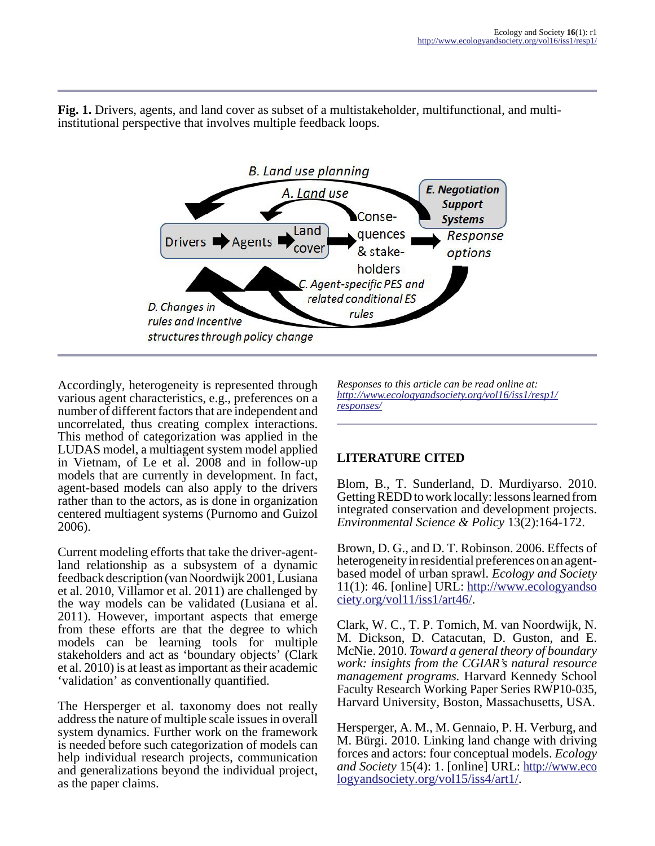

**Fig. 1.** Drivers, agents, and land cover as subset of a multistakeholder, multifunctional, and multiinstitutional perspective that involves multiple feedback loops.

Accordingly, heterogeneity is represented through various agent characteristics, e.g., preferences on a number of different factors that are independent and uncorrelated, thus creating complex interactions. This method of categorization was applied in the LUDAS model, a multiagent system model applied in Vietnam, of Le et al. 2008 and in follow-up models that are currently in development. In fact, agent-based models can also apply to the drivers rather than to the actors, as is done in organization centered multiagent systems (Purnomo and Guizol 2006).

Current modeling efforts that take the driver-agentland relationship as a subsystem of a dynamic feedback description (van Noordwijk 2001, Lusiana et al. 2010, Villamor et al. 2011) are challenged by the way models can be validated (Lusiana et al. 2011). However, important aspects that emerge from these efforts are that the degree to which models can be learning tools for multiple stakeholders and act as 'boundary objects' (Clark et al. 2010) is at least as important as their academic 'validation' as conventionally quantified.

The Hersperger et al. taxonomy does not really address the nature of multiple scale issues in overall system dynamics. Further work on the framework is needed before such categorization of models can help individual research projects, communication and generalizations beyond the individual project, as the paper claims.

*Responses to this article can be read online at: [http://www](http://www.ecologyandsociety.org/vol16/iss1/resp1/responses/).ecologyandsociety.org/vol16/iss1/resp1/ responses/*

## **LITERATURE CITED**

Blom, B., T. Sunderland, D. Murdiyarso. 2010. Getting REDD to work locally: lessons learned from integrated conservation and development projects. *Environmental Science & Policy* 13(2):164-172.

Brown, D. G., and D. T. Robinson. 2006. Effects of heterogeneity in residential preferences on an agentbased model of urban sprawl. *Ecology and Society*  $11(1)$ : 46. [online] URL:  $\frac{http://www.ecologyandso}{http://www.ecologyandso}$  $\frac{http://www.ecologyandso}{http://www.ecologyandso}$  $\frac{http://www.ecologyandso}{http://www.ecologyandso}$ [ciety.org/vol11/iss1/art46/](http://www.ecologyandsociety.org/vol11/iss1/art46/).

Clark, W. C., T. P. Tomich, M. van Noordwijk, N. M. Dickson, D. Catacutan, D. Guston, and E. McNie. 2010. *Toward a general theory of boundary work: insights from the CGIAR's natural resource management programs.* Harvard Kennedy School Faculty Research Working Paper Series RWP10-035, Harvard University, Boston, Massachusetts, USA.

Hersperger, A. M., M. Gennaio, P. H. Verburg, and M. Bürgi. 2010. Linking land change with driving forces and actors: four conceptual models. *Ecology and Society* 15(4): 1. [online] URL: [http://www.eco](http://www.ecologyandsociety.org/vol15/iss4/art1/) [logyandsociety.org/vol15/iss4/art1/.](http://www.ecologyandsociety.org/vol15/iss4/art1/)